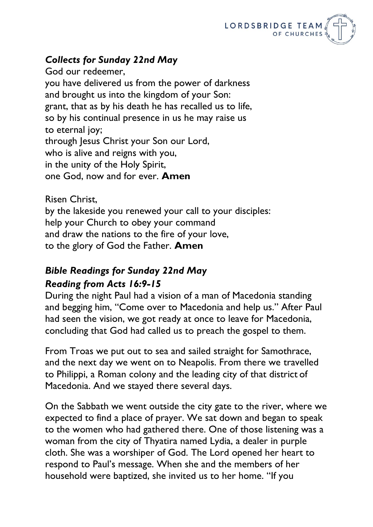

## *Collects for Sunday 22nd May*

God our redeemer, you have delivered us from the power of darkness and brought us into the kingdom of your Son: grant, that as by his death he has recalled us to life, so by his continual presence in us he may raise us to eternal joy; through Jesus Christ your Son our Lord, who is alive and reigns with you, in the unity of the Holy Spirit, one God, now and for ever. **Amen**

Risen Christ,

by the lakeside you renewed your call to your disciples: help your Church to obey your command and draw the nations to the fire of your love, to the glory of God the Father. **Amen**

## *Bible Readings for Sunday 22nd May Reading from Acts 16:9-15*

During the night Paul had a vision of a man of Macedonia standing and begging him, "Come over to Macedonia and help us." After Paul had seen the vision, we got ready at once to leave for Macedonia, concluding that God had called us to preach the gospel to them.

From Troas we put out to sea and sailed straight for Samothrace, and the next day we went on to Neapolis. From there we travelled to Philippi, a Roman colony and the leading city of that district of Macedonia. And we stayed there several days.

On the Sabbath we went outside the city gate to the river, where we expected to find a place of prayer. We sat down and began to speak to the women who had gathered there. One of those listening was a woman from the city of Thyatira named Lydia, a dealer in purple cloth. She was a worshiper of God. The Lord opened her heart to respond to Paul's message. When she and the members of her household were baptized, she invited us to her home. "If you